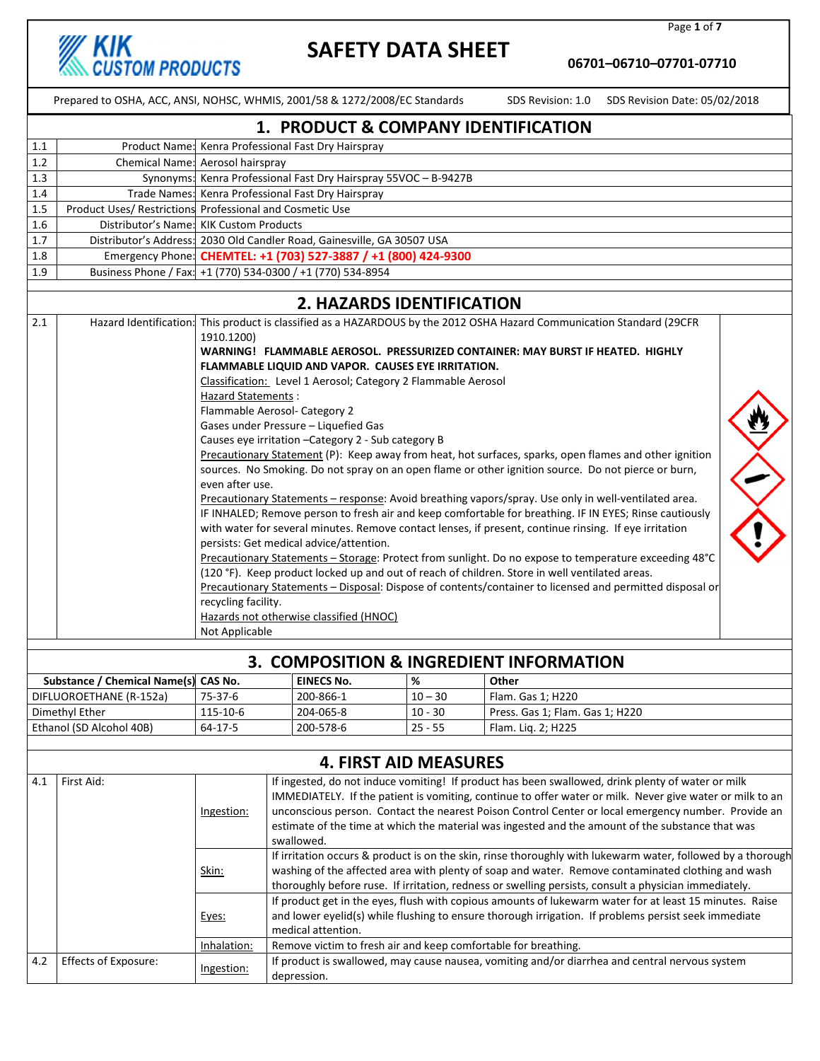

Page 1 of 7

06701–06710–07701-07710

|                                     | Prepared to OSHA, ACC, ANSI, NOHSC, WHMIS, 2001/58 & 1272/2008/EC Standards |                                                                                                                                                                                                                                                                                                                                                                                                                                                                                                                                                                                                                                                                                                                                                                                                                                                                                                                                                                                                                                                                                                                                                                                                                                                                                                                                                                                                                                                                                                                 |                                                                                                                                                                                                                                                                                                                                                                                                                                                                                                                                                       |                                                                |           |                                 | SDS Revision: 1.0 SDS Revision Date: 05/02/2018                                                |  |
|-------------------------------------|-----------------------------------------------------------------------------|-----------------------------------------------------------------------------------------------------------------------------------------------------------------------------------------------------------------------------------------------------------------------------------------------------------------------------------------------------------------------------------------------------------------------------------------------------------------------------------------------------------------------------------------------------------------------------------------------------------------------------------------------------------------------------------------------------------------------------------------------------------------------------------------------------------------------------------------------------------------------------------------------------------------------------------------------------------------------------------------------------------------------------------------------------------------------------------------------------------------------------------------------------------------------------------------------------------------------------------------------------------------------------------------------------------------------------------------------------------------------------------------------------------------------------------------------------------------------------------------------------------------|-------------------------------------------------------------------------------------------------------------------------------------------------------------------------------------------------------------------------------------------------------------------------------------------------------------------------------------------------------------------------------------------------------------------------------------------------------------------------------------------------------------------------------------------------------|----------------------------------------------------------------|-----------|---------------------------------|------------------------------------------------------------------------------------------------|--|
| 1. PRODUCT & COMPANY IDENTIFICATION |                                                                             |                                                                                                                                                                                                                                                                                                                                                                                                                                                                                                                                                                                                                                                                                                                                                                                                                                                                                                                                                                                                                                                                                                                                                                                                                                                                                                                                                                                                                                                                                                                 |                                                                                                                                                                                                                                                                                                                                                                                                                                                                                                                                                       |                                                                |           |                                 |                                                                                                |  |
| 1.1                                 |                                                                             |                                                                                                                                                                                                                                                                                                                                                                                                                                                                                                                                                                                                                                                                                                                                                                                                                                                                                                                                                                                                                                                                                                                                                                                                                                                                                                                                                                                                                                                                                                                 |                                                                                                                                                                                                                                                                                                                                                                                                                                                                                                                                                       | Product Name: Kenra Professional Fast Dry Hairspray            |           |                                 |                                                                                                |  |
| 1.2                                 | Chemical Name: Aerosol hairspray                                            |                                                                                                                                                                                                                                                                                                                                                                                                                                                                                                                                                                                                                                                                                                                                                                                                                                                                                                                                                                                                                                                                                                                                                                                                                                                                                                                                                                                                                                                                                                                 |                                                                                                                                                                                                                                                                                                                                                                                                                                                                                                                                                       |                                                                |           |                                 |                                                                                                |  |
| 1.3                                 |                                                                             |                                                                                                                                                                                                                                                                                                                                                                                                                                                                                                                                                                                                                                                                                                                                                                                                                                                                                                                                                                                                                                                                                                                                                                                                                                                                                                                                                                                                                                                                                                                 | Synonyms: Kenra Professional Fast Dry Hairspray 55VOC - B-9427B                                                                                                                                                                                                                                                                                                                                                                                                                                                                                       |                                                                |           |                                 |                                                                                                |  |
| 1.4                                 |                                                                             |                                                                                                                                                                                                                                                                                                                                                                                                                                                                                                                                                                                                                                                                                                                                                                                                                                                                                                                                                                                                                                                                                                                                                                                                                                                                                                                                                                                                                                                                                                                 | Trade Names: Kenra Professional Fast Dry Hairspray                                                                                                                                                                                                                                                                                                                                                                                                                                                                                                    |                                                                |           |                                 |                                                                                                |  |
| 1.5                                 |                                                                             |                                                                                                                                                                                                                                                                                                                                                                                                                                                                                                                                                                                                                                                                                                                                                                                                                                                                                                                                                                                                                                                                                                                                                                                                                                                                                                                                                                                                                                                                                                                 | Product Uses/ Restrictions Professional and Cosmetic Use                                                                                                                                                                                                                                                                                                                                                                                                                                                                                              |                                                                |           |                                 |                                                                                                |  |
| 1.6                                 | Distributor's Name: KIK Custom Products                                     |                                                                                                                                                                                                                                                                                                                                                                                                                                                                                                                                                                                                                                                                                                                                                                                                                                                                                                                                                                                                                                                                                                                                                                                                                                                                                                                                                                                                                                                                                                                 |                                                                                                                                                                                                                                                                                                                                                                                                                                                                                                                                                       |                                                                |           |                                 |                                                                                                |  |
| 1.7                                 |                                                                             |                                                                                                                                                                                                                                                                                                                                                                                                                                                                                                                                                                                                                                                                                                                                                                                                                                                                                                                                                                                                                                                                                                                                                                                                                                                                                                                                                                                                                                                                                                                 | Distributor's Address: 2030 Old Candler Road, Gainesville, GA 30507 USA                                                                                                                                                                                                                                                                                                                                                                                                                                                                               |                                                                |           |                                 |                                                                                                |  |
| $1.8\,$                             |                                                                             |                                                                                                                                                                                                                                                                                                                                                                                                                                                                                                                                                                                                                                                                                                                                                                                                                                                                                                                                                                                                                                                                                                                                                                                                                                                                                                                                                                                                                                                                                                                 | Emergency Phone: CHEMTEL: +1 (703) 527-3887 / +1 (800) 424-9300                                                                                                                                                                                                                                                                                                                                                                                                                                                                                       |                                                                |           |                                 |                                                                                                |  |
| 1.9                                 | Business Phone / Fax: +1 (770) 534-0300 / +1 (770) 534-8954                 |                                                                                                                                                                                                                                                                                                                                                                                                                                                                                                                                                                                                                                                                                                                                                                                                                                                                                                                                                                                                                                                                                                                                                                                                                                                                                                                                                                                                                                                                                                                 |                                                                                                                                                                                                                                                                                                                                                                                                                                                                                                                                                       |                                                                |           |                                 |                                                                                                |  |
|                                     |                                                                             |                                                                                                                                                                                                                                                                                                                                                                                                                                                                                                                                                                                                                                                                                                                                                                                                                                                                                                                                                                                                                                                                                                                                                                                                                                                                                                                                                                                                                                                                                                                 |                                                                                                                                                                                                                                                                                                                                                                                                                                                                                                                                                       | <b>2. HAZARDS IDENTIFICATION</b>                               |           |                                 |                                                                                                |  |
| 2.1                                 |                                                                             | Hazard Identification: This product is classified as a HAZARDOUS by the 2012 OSHA Hazard Communication Standard (29CFR<br>1910.1200)<br>WARNING! FLAMMABLE AEROSOL. PRESSURIZED CONTAINER: MAY BURST IF HEATED. HIGHLY<br>FLAMMABLE LIQUID AND VAPOR. CAUSES EYE IRRITATION.<br>Classification: Level 1 Aerosol; Category 2 Flammable Aerosol<br><b>Hazard Statements:</b><br>Flammable Aerosol- Category 2<br>Gases under Pressure - Liquefied Gas<br>Causes eye irritation - Category 2 - Sub category B<br>Precautionary Statement (P): Keep away from heat, hot surfaces, sparks, open flames and other ignition<br>sources. No Smoking. Do not spray on an open flame or other ignition source. Do not pierce or burn,<br>even after use.<br>Precautionary Statements - response: Avoid breathing vapors/spray. Use only in well-ventilated area.<br>IF INHALED; Remove person to fresh air and keep comfortable for breathing. IF IN EYES; Rinse cautiously<br>with water for several minutes. Remove contact lenses, if present, continue rinsing. If eye irritation<br>persists: Get medical advice/attention.<br>Precautionary Statements - Storage: Protect from sunlight. Do no expose to temperature exceeding 48°C<br>(120 °F). Keep product locked up and out of reach of children. Store in well ventilated areas.<br>Precautionary Statements - Disposal: Dispose of contents/container to licensed and permitted disposal or<br>recycling facility.<br>Hazards not otherwise classified (HNOC) |                                                                                                                                                                                                                                                                                                                                                                                                                                                                                                                                                       |                                                                |           |                                 |                                                                                                |  |
|                                     |                                                                             |                                                                                                                                                                                                                                                                                                                                                                                                                                                                                                                                                                                                                                                                                                                                                                                                                                                                                                                                                                                                                                                                                                                                                                                                                                                                                                                                                                                                                                                                                                                 |                                                                                                                                                                                                                                                                                                                                                                                                                                                                                                                                                       | 3. COMPOSITION & INGREDIENT INFORMATION                        |           |                                 |                                                                                                |  |
|                                     | Substance / Chemical Name(s) CAS No.                                        |                                                                                                                                                                                                                                                                                                                                                                                                                                                                                                                                                                                                                                                                                                                                                                                                                                                                                                                                                                                                                                                                                                                                                                                                                                                                                                                                                                                                                                                                                                                 |                                                                                                                                                                                                                                                                                                                                                                                                                                                                                                                                                       | <b>EINECS No.</b>                                              | %         | Other                           |                                                                                                |  |
|                                     | DIFLUOROETHANE (R-152a)                                                     | 75-37-6                                                                                                                                                                                                                                                                                                                                                                                                                                                                                                                                                                                                                                                                                                                                                                                                                                                                                                                                                                                                                                                                                                                                                                                                                                                                                                                                                                                                                                                                                                         |                                                                                                                                                                                                                                                                                                                                                                                                                                                                                                                                                       | 200-866-1                                                      | $10 - 30$ | Flam. Gas 1; H220               |                                                                                                |  |
|                                     | Dimethyl Ether                                                              | 115-10-6                                                                                                                                                                                                                                                                                                                                                                                                                                                                                                                                                                                                                                                                                                                                                                                                                                                                                                                                                                                                                                                                                                                                                                                                                                                                                                                                                                                                                                                                                                        |                                                                                                                                                                                                                                                                                                                                                                                                                                                                                                                                                       | 204-065-8                                                      | $10 - 30$ | Press. Gas 1; Flam. Gas 1; H220 |                                                                                                |  |
|                                     | Ethanol (SD Alcohol 40B)                                                    | 64-17-5                                                                                                                                                                                                                                                                                                                                                                                                                                                                                                                                                                                                                                                                                                                                                                                                                                                                                                                                                                                                                                                                                                                                                                                                                                                                                                                                                                                                                                                                                                         |                                                                                                                                                                                                                                                                                                                                                                                                                                                                                                                                                       | 200-578-6                                                      | $25 - 55$ | Flam. Lig. 2; H225              |                                                                                                |  |
|                                     |                                                                             |                                                                                                                                                                                                                                                                                                                                                                                                                                                                                                                                                                                                                                                                                                                                                                                                                                                                                                                                                                                                                                                                                                                                                                                                                                                                                                                                                                                                                                                                                                                 |                                                                                                                                                                                                                                                                                                                                                                                                                                                                                                                                                       |                                                                |           |                                 |                                                                                                |  |
|                                     |                                                                             |                                                                                                                                                                                                                                                                                                                                                                                                                                                                                                                                                                                                                                                                                                                                                                                                                                                                                                                                                                                                                                                                                                                                                                                                                                                                                                                                                                                                                                                                                                                 |                                                                                                                                                                                                                                                                                                                                                                                                                                                                                                                                                       | <b>4. FIRST AID MEASURES</b>                                   |           |                                 |                                                                                                |  |
| 4.1                                 | First Aid:                                                                  | Ingestion:                                                                                                                                                                                                                                                                                                                                                                                                                                                                                                                                                                                                                                                                                                                                                                                                                                                                                                                                                                                                                                                                                                                                                                                                                                                                                                                                                                                                                                                                                                      | If ingested, do not induce vomiting! If product has been swallowed, drink plenty of water or milk<br>IMMEDIATELY. If the patient is vomiting, continue to offer water or milk. Never give water or milk to an<br>unconscious person. Contact the nearest Poison Control Center or local emergency number. Provide an<br>estimate of the time at which the material was ingested and the amount of the substance that was<br>swallowed.<br>If irritation occurs & product is on the skin, rinse thoroughly with lukewarm water, followed by a thorough |                                                                |           |                                 |                                                                                                |  |
|                                     |                                                                             | Skin:<br>Eyes:                                                                                                                                                                                                                                                                                                                                                                                                                                                                                                                                                                                                                                                                                                                                                                                                                                                                                                                                                                                                                                                                                                                                                                                                                                                                                                                                                                                                                                                                                                  | washing of the affected area with plenty of soap and water. Remove contaminated clothing and wash<br>thoroughly before ruse. If irritation, redness or swelling persists, consult a physician immediately.<br>If product get in the eyes, flush with copious amounts of lukewarm water for at least 15 minutes. Raise<br>and lower eyelid(s) while flushing to ensure thorough irrigation. If problems persist seek immediate<br>medical attention.                                                                                                   |                                                                |           |                                 |                                                                                                |  |
|                                     |                                                                             | Inhalation:                                                                                                                                                                                                                                                                                                                                                                                                                                                                                                                                                                                                                                                                                                                                                                                                                                                                                                                                                                                                                                                                                                                                                                                                                                                                                                                                                                                                                                                                                                     |                                                                                                                                                                                                                                                                                                                                                                                                                                                                                                                                                       | Remove victim to fresh air and keep comfortable for breathing. |           |                                 |                                                                                                |  |
| 4.2                                 | <b>Effects of Exposure:</b>                                                 | Ingestion:                                                                                                                                                                                                                                                                                                                                                                                                                                                                                                                                                                                                                                                                                                                                                                                                                                                                                                                                                                                                                                                                                                                                                                                                                                                                                                                                                                                                                                                                                                      |                                                                                                                                                                                                                                                                                                                                                                                                                                                                                                                                                       | depression.                                                    |           |                                 | If product is swallowed, may cause nausea, vomiting and/or diarrhea and central nervous system |  |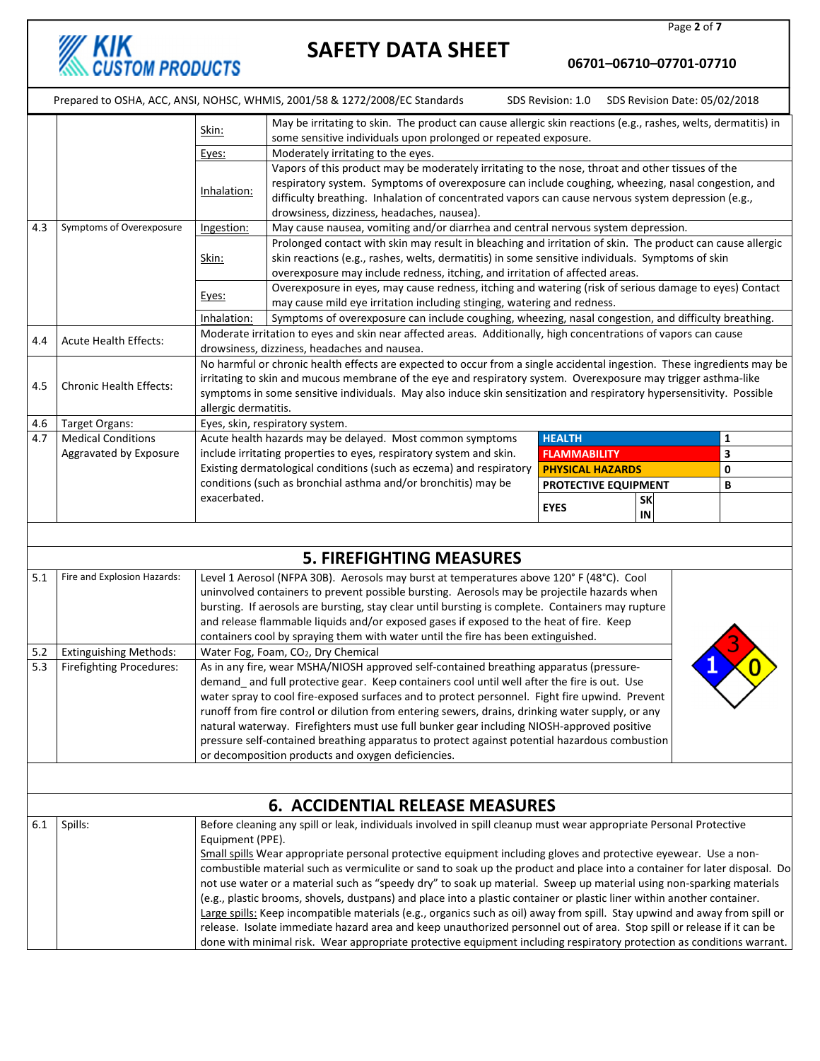06701–06710–07701-07710

SDS Revision: 1.0 SDS Revision Date: 05/02/2018

|                                                                                                                                |                                                                                                                               | Skin:                                                                                                                     | May be irritating to skin. The product can cause allergic skin reactions (e.g., rashes, welts, dermatitis) in                                                                                                                                   |                         |                 |   |  |  |  |
|--------------------------------------------------------------------------------------------------------------------------------|-------------------------------------------------------------------------------------------------------------------------------|---------------------------------------------------------------------------------------------------------------------------|-------------------------------------------------------------------------------------------------------------------------------------------------------------------------------------------------------------------------------------------------|-------------------------|-----------------|---|--|--|--|
|                                                                                                                                |                                                                                                                               |                                                                                                                           | some sensitive individuals upon prolonged or repeated exposure.                                                                                                                                                                                 |                         |                 |   |  |  |  |
|                                                                                                                                |                                                                                                                               | Eyes:                                                                                                                     | Moderately irritating to the eyes.                                                                                                                                                                                                              |                         |                 |   |  |  |  |
|                                                                                                                                |                                                                                                                               |                                                                                                                           | Vapors of this product may be moderately irritating to the nose, throat and other tissues of the<br>respiratory system. Symptoms of overexposure can include coughing, wheezing, nasal congestion, and                                          |                         |                 |   |  |  |  |
|                                                                                                                                |                                                                                                                               | Inhalation:                                                                                                               |                                                                                                                                                                                                                                                 |                         |                 |   |  |  |  |
|                                                                                                                                |                                                                                                                               |                                                                                                                           | difficulty breathing. Inhalation of concentrated vapors can cause nervous system depression (e.g.,                                                                                                                                              |                         |                 |   |  |  |  |
| 4.3                                                                                                                            | Symptoms of Overexposure                                                                                                      |                                                                                                                           | drowsiness, dizziness, headaches, nausea).<br>May cause nausea, vomiting and/or diarrhea and central nervous system depression.                                                                                                                 |                         |                 |   |  |  |  |
|                                                                                                                                |                                                                                                                               | Ingestion:                                                                                                                | Prolonged contact with skin may result in bleaching and irritation of skin. The product can cause allergic                                                                                                                                      |                         |                 |   |  |  |  |
|                                                                                                                                |                                                                                                                               | Skin:                                                                                                                     | skin reactions (e.g., rashes, welts, dermatitis) in some sensitive individuals. Symptoms of skin                                                                                                                                                |                         |                 |   |  |  |  |
|                                                                                                                                |                                                                                                                               |                                                                                                                           | overexposure may include redness, itching, and irritation of affected areas.                                                                                                                                                                    |                         |                 |   |  |  |  |
|                                                                                                                                |                                                                                                                               |                                                                                                                           | Overexposure in eyes, may cause redness, itching and watering (risk of serious damage to eyes) Contact                                                                                                                                          |                         |                 |   |  |  |  |
|                                                                                                                                |                                                                                                                               | Eyes:                                                                                                                     | may cause mild eye irritation including stinging, watering and redness.                                                                                                                                                                         |                         |                 |   |  |  |  |
|                                                                                                                                |                                                                                                                               | Symptoms of overexposure can include coughing, wheezing, nasal congestion, and difficulty breathing.<br>Inhalation:       |                                                                                                                                                                                                                                                 |                         |                 |   |  |  |  |
| 4.4                                                                                                                            | <b>Acute Health Effects:</b>                                                                                                  |                                                                                                                           | Moderate irritation to eyes and skin near affected areas. Additionally, high concentrations of vapors can cause                                                                                                                                 |                         |                 |   |  |  |  |
|                                                                                                                                |                                                                                                                               |                                                                                                                           | drowsiness, dizziness, headaches and nausea.                                                                                                                                                                                                    |                         |                 |   |  |  |  |
|                                                                                                                                |                                                                                                                               |                                                                                                                           | No harmful or chronic health effects are expected to occur from a single accidental ingestion. These ingredients may be                                                                                                                         |                         |                 |   |  |  |  |
| 4.5                                                                                                                            | <b>Chronic Health Effects:</b>                                                                                                |                                                                                                                           | irritating to skin and mucous membrane of the eye and respiratory system. Overexposure may trigger asthma-like<br>symptoms in some sensitive individuals. May also induce skin sensitization and respiratory hypersensitivity. Possible         |                         |                 |   |  |  |  |
|                                                                                                                                |                                                                                                                               | allergic dermatitis.                                                                                                      |                                                                                                                                                                                                                                                 |                         |                 |   |  |  |  |
| 4.6                                                                                                                            | Target Organs:                                                                                                                |                                                                                                                           | Eyes, skin, respiratory system.                                                                                                                                                                                                                 |                         |                 |   |  |  |  |
| 4.7                                                                                                                            | <b>Medical Conditions</b>                                                                                                     |                                                                                                                           | Acute health hazards may be delayed. Most common symptoms                                                                                                                                                                                       | <b>HEALTH</b>           |                 | 1 |  |  |  |
|                                                                                                                                | Aggravated by Exposure                                                                                                        |                                                                                                                           | include irritating properties to eyes, respiratory system and skin.                                                                                                                                                                             | <b>FLAMMABILITY</b>     | 3               |   |  |  |  |
|                                                                                                                                |                                                                                                                               |                                                                                                                           | Existing dermatological conditions (such as eczema) and respiratory                                                                                                                                                                             | <b>PHYSICAL HAZARDS</b> |                 | 0 |  |  |  |
|                                                                                                                                |                                                                                                                               |                                                                                                                           | conditions (such as bronchial asthma and/or bronchitis) may be                                                                                                                                                                                  | PROTECTIVE EQUIPMENT    |                 | В |  |  |  |
|                                                                                                                                |                                                                                                                               | exacerbated.                                                                                                              |                                                                                                                                                                                                                                                 | <b>EYES</b>             | <b>SK</b><br>IN |   |  |  |  |
|                                                                                                                                |                                                                                                                               |                                                                                                                           |                                                                                                                                                                                                                                                 |                         |                 |   |  |  |  |
|                                                                                                                                |                                                                                                                               |                                                                                                                           |                                                                                                                                                                                                                                                 |                         |                 |   |  |  |  |
|                                                                                                                                |                                                                                                                               |                                                                                                                           | <b>5. FIREFIGHTING MEASURES</b>                                                                                                                                                                                                                 |                         |                 |   |  |  |  |
| 5.1<br>Fire and Explosion Hazards:<br>Level 1 Aerosol (NFPA 30B). Aerosols may burst at temperatures above 120° F (48°C). Cool |                                                                                                                               |                                                                                                                           |                                                                                                                                                                                                                                                 |                         |                 |   |  |  |  |
|                                                                                                                                |                                                                                                                               |                                                                                                                           | uninvolved containers to prevent possible bursting. Aerosols may be projectile hazards when                                                                                                                                                     |                         |                 |   |  |  |  |
|                                                                                                                                |                                                                                                                               |                                                                                                                           | bursting. If aerosols are bursting, stay clear until bursting is complete. Containers may rupture                                                                                                                                               |                         |                 |   |  |  |  |
|                                                                                                                                |                                                                                                                               |                                                                                                                           | and release flammable liquids and/or exposed gases if exposed to the heat of fire. Keep<br>containers cool by spraying them with water until the fire has been extinguished.                                                                    |                         |                 |   |  |  |  |
| 5.2                                                                                                                            | <b>Extinguishing Methods:</b>                                                                                                 |                                                                                                                           | Water Fog, Foam, CO <sub>2</sub> , Dry Chemical                                                                                                                                                                                                 |                         |                 |   |  |  |  |
| 5.3                                                                                                                            | <b>Firefighting Procedures:</b>                                                                                               |                                                                                                                           | As in any fire, wear MSHA/NIOSH approved self-contained breathing apparatus (pressure-                                                                                                                                                          |                         |                 |   |  |  |  |
|                                                                                                                                |                                                                                                                               |                                                                                                                           | demand_and full protective gear. Keep containers cool until well after the fire is out. Use                                                                                                                                                     |                         |                 |   |  |  |  |
|                                                                                                                                |                                                                                                                               |                                                                                                                           | water spray to cool fire-exposed surfaces and to protect personnel. Fight fire upwind. Prevent                                                                                                                                                  |                         |                 |   |  |  |  |
|                                                                                                                                |                                                                                                                               |                                                                                                                           | runoff from fire control or dilution from entering sewers, drains, drinking water supply, or any                                                                                                                                                |                         |                 |   |  |  |  |
|                                                                                                                                |                                                                                                                               |                                                                                                                           | natural waterway. Firefighters must use full bunker gear including NIOSH-approved positive                                                                                                                                                      |                         |                 |   |  |  |  |
|                                                                                                                                |                                                                                                                               |                                                                                                                           | pressure self-contained breathing apparatus to protect against potential hazardous combustion                                                                                                                                                   |                         |                 |   |  |  |  |
|                                                                                                                                |                                                                                                                               |                                                                                                                           | or decomposition products and oxygen deficiencies.                                                                                                                                                                                              |                         |                 |   |  |  |  |
|                                                                                                                                |                                                                                                                               |                                                                                                                           |                                                                                                                                                                                                                                                 |                         |                 |   |  |  |  |
|                                                                                                                                |                                                                                                                               |                                                                                                                           | <b>6. ACCIDENTIAL RELEASE MEASURES</b>                                                                                                                                                                                                          |                         |                 |   |  |  |  |
| 6.1                                                                                                                            | Before cleaning any spill or leak, individuals involved in spill cleanup must wear appropriate Personal Protective<br>Spills: |                                                                                                                           |                                                                                                                                                                                                                                                 |                         |                 |   |  |  |  |
|                                                                                                                                |                                                                                                                               | Equipment (PPE).                                                                                                          |                                                                                                                                                                                                                                                 |                         |                 |   |  |  |  |
|                                                                                                                                |                                                                                                                               |                                                                                                                           | Small spills Wear appropriate personal protective equipment including gloves and protective eyewear. Use a non-                                                                                                                                 |                         |                 |   |  |  |  |
|                                                                                                                                |                                                                                                                               | combustible material such as vermiculite or sand to soak up the product and place into a container for later disposal. Do |                                                                                                                                                                                                                                                 |                         |                 |   |  |  |  |
|                                                                                                                                |                                                                                                                               |                                                                                                                           | not use water or a material such as "speedy dry" to soak up material. Sweep up material using non-sparking materials                                                                                                                            |                         |                 |   |  |  |  |
|                                                                                                                                |                                                                                                                               |                                                                                                                           | (e.g., plastic brooms, shovels, dustpans) and place into a plastic container or plastic liner within another container.                                                                                                                         |                         |                 |   |  |  |  |
|                                                                                                                                |                                                                                                                               |                                                                                                                           | Large spills: Keep incompatible materials (e.g., organics such as oil) away from spill. Stay upwind and away from spill or                                                                                                                      |                         |                 |   |  |  |  |
|                                                                                                                                |                                                                                                                               |                                                                                                                           | release. Isolate immediate hazard area and keep unauthorized personnel out of area. Stop spill or release if it can be<br>done with minimal risk. Wear appropriate protective equipment including respiratory protection as conditions warrant. |                         |                 |   |  |  |  |
|                                                                                                                                |                                                                                                                               |                                                                                                                           |                                                                                                                                                                                                                                                 |                         |                 |   |  |  |  |

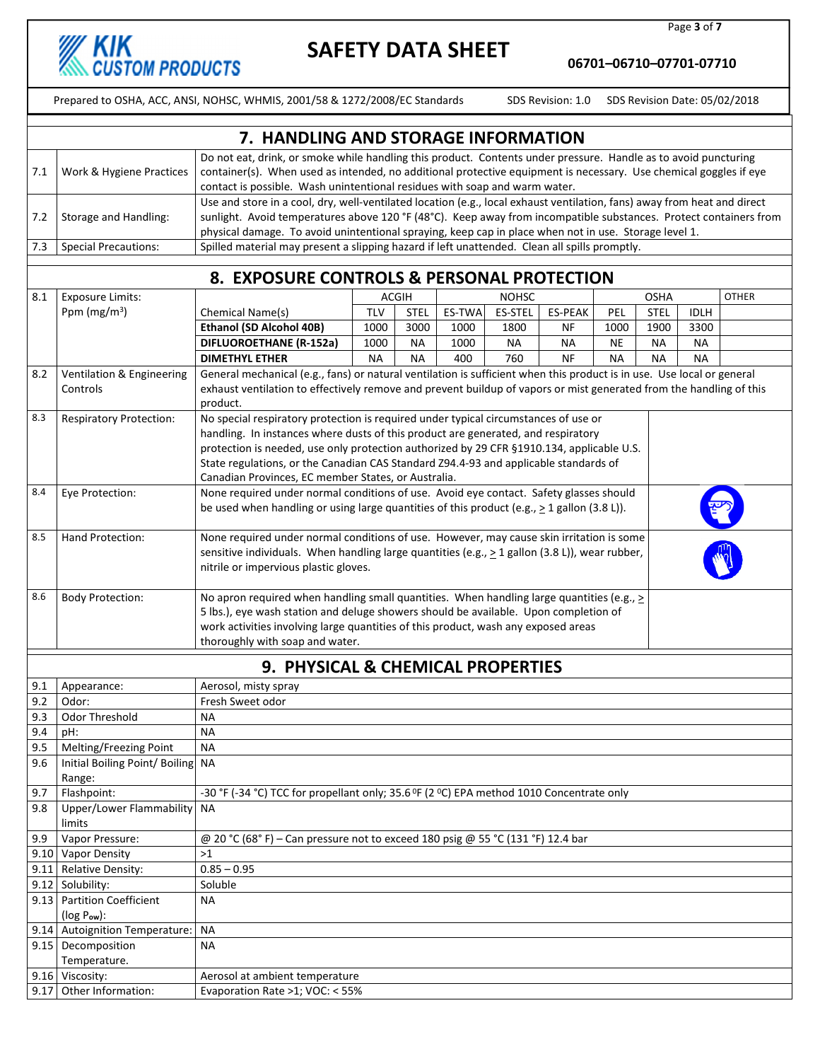

9.17 Other Information: Evaporation Rate >1; VOC: < 55%

### SAFETY DATA SHEET

Page 3 of 7

06701–06710–07701-07710

Prepared to OSHA, ACC, ANSI, NOHSC, WHMIS, 2001/58 & 1272/2008/EC Standards SDS Revision: 1.0 SDS Revision Date: 05/02/2018

|     | 7. HANDLING AND STORAGE INFORMATION |                                                                                                                                                                                                                                                                                                                                                        |  |  |  |  |  |
|-----|-------------------------------------|--------------------------------------------------------------------------------------------------------------------------------------------------------------------------------------------------------------------------------------------------------------------------------------------------------------------------------------------------------|--|--|--|--|--|
| 7.1 | Work & Hygiene Practices            | Do not eat, drink, or smoke while handling this product. Contents under pressure. Handle as to avoid puncturing<br>container(s). When used as intended, no additional protective equipment is necessary. Use chemical goggles if eye<br>contact is possible. Wash unintentional residues with soap and warm water.                                     |  |  |  |  |  |
| 7.2 | Storage and Handling:               | Use and store in a cool, dry, well-ventilated location (e.g., local exhaust ventilation, fans) away from heat and direct<br>sunlight. Avoid temperatures above 120 °F (48°C). Keep away from incompatible substances. Protect containers from<br>physical damage. To avoid unintentional spraying, keep cap in place when not in use. Storage level 1. |  |  |  |  |  |
|     | <b>Special Precautions:</b>         | Spilled material may present a slipping hazard if left unattended. Clean all spills promptly.                                                                                                                                                                                                                                                          |  |  |  |  |  |

#### 8. EXPOSURE CONTROLS & PERSONAL PROTECTION

| 8.1  | <b>Exposure Limits:</b>           |                                                                                                                                                                                        |                                                                                           | <b>ACGIH</b> |        | <b>NOHSC</b>   |                |           | <b>OSHA</b> |             | <b>OTHER</b> |
|------|-----------------------------------|----------------------------------------------------------------------------------------------------------------------------------------------------------------------------------------|-------------------------------------------------------------------------------------------|--------------|--------|----------------|----------------|-----------|-------------|-------------|--------------|
|      | Ppm ( $mg/m3$ )                   | Chemical Name(s)                                                                                                                                                                       | <b>TLV</b>                                                                                | <b>STEL</b>  | ES-TWA | <b>ES-STEL</b> | <b>ES-PEAK</b> | PEL       | <b>STEL</b> | <b>IDLH</b> |              |
|      |                                   | Ethanol (SD Alcohol 40B)                                                                                                                                                               | 1000                                                                                      | 3000         | 1000   | 1800           | ΝF             | 1000      | 1900        | 3300        |              |
|      |                                   | <b>DIFLUOROETHANE (R-152a)</b>                                                                                                                                                         | 1000                                                                                      | <b>NA</b>    | 1000   | <b>NA</b>      | <b>NA</b>      | <b>NE</b> | <b>NA</b>   | <b>NA</b>   |              |
|      |                                   | <b>DIMETHYL ETHER</b>                                                                                                                                                                  | <b>NA</b>                                                                                 | <b>NA</b>    | 400    | 760            | <b>NF</b>      | <b>NA</b> | <b>NA</b>   | <b>NA</b>   |              |
| 8.2  | Ventilation & Engineering         | General mechanical (e.g., fans) or natural ventilation is sufficient when this product is in use. Use local or general                                                                 |                                                                                           |              |        |                |                |           |             |             |              |
|      | Controls                          | exhaust ventilation to effectively remove and prevent buildup of vapors or mist generated from the handling of this                                                                    |                                                                                           |              |        |                |                |           |             |             |              |
|      |                                   | product.                                                                                                                                                                               |                                                                                           |              |        |                |                |           |             |             |              |
| 8.3  | <b>Respiratory Protection:</b>    | No special respiratory protection is required under typical circumstances of use or                                                                                                    |                                                                                           |              |        |                |                |           |             |             |              |
|      |                                   | handling. In instances where dusts of this product are generated, and respiratory                                                                                                      |                                                                                           |              |        |                |                |           |             |             |              |
|      |                                   |                                                                                                                                                                                        | protection is needed, use only protection authorized by 29 CFR §1910.134, applicable U.S. |              |        |                |                |           |             |             |              |
|      |                                   |                                                                                                                                                                                        | State regulations, or the Canadian CAS Standard Z94.4-93 and applicable standards of      |              |        |                |                |           |             |             |              |
|      |                                   | Canadian Provinces, EC member States, or Australia.                                                                                                                                    |                                                                                           |              |        |                |                |           |             |             |              |
| 8.4  | Eye Protection:                   | None required under normal conditions of use. Avoid eye contact. Safety glasses should                                                                                                 |                                                                                           |              |        |                |                |           |             |             |              |
|      |                                   | be used when handling or using large quantities of this product (e.g., $\geq 1$ gallon (3.8 L)).                                                                                       |                                                                                           |              |        |                |                |           |             |             |              |
| 8.5  | Hand Protection:                  |                                                                                                                                                                                        |                                                                                           |              |        |                |                |           |             |             |              |
|      |                                   | None required under normal conditions of use. However, may cause skin irritation is some                                                                                               |                                                                                           |              |        |                |                |           |             |             |              |
|      |                                   | sensitive individuals. When handling large quantities (e.g., $\geq 1$ gallon (3.8 L)), wear rubber,<br>nitrile or impervious plastic gloves.                                           |                                                                                           |              |        |                |                |           |             |             |              |
|      |                                   |                                                                                                                                                                                        |                                                                                           |              |        |                |                |           |             |             |              |
| 8.6  | <b>Body Protection:</b>           |                                                                                                                                                                                        |                                                                                           |              |        |                |                |           |             |             |              |
|      |                                   | No apron required when handling small quantities. When handling large quantities (e.g., $\geq$<br>5 lbs.), eye wash station and deluge showers should be available. Upon completion of |                                                                                           |              |        |                |                |           |             |             |              |
|      |                                   |                                                                                                                                                                                        | work activities involving large quantities of this product, wash any exposed areas        |              |        |                |                |           |             |             |              |
|      |                                   | thoroughly with soap and water.                                                                                                                                                        |                                                                                           |              |        |                |                |           |             |             |              |
|      |                                   |                                                                                                                                                                                        |                                                                                           |              |        |                |                |           |             |             |              |
|      |                                   | 9. PHYSICAL & CHEMICAL PROPERTIES                                                                                                                                                      |                                                                                           |              |        |                |                |           |             |             |              |
| 9.1  | Appearance:                       | Aerosol, misty spray                                                                                                                                                                   |                                                                                           |              |        |                |                |           |             |             |              |
| 9.2  | Odor:                             | Fresh Sweet odor                                                                                                                                                                       |                                                                                           |              |        |                |                |           |             |             |              |
| 9.3  | Odor Threshold                    | <b>NA</b>                                                                                                                                                                              |                                                                                           |              |        |                |                |           |             |             |              |
| 9.4  | pH:                               | <b>NA</b>                                                                                                                                                                              |                                                                                           |              |        |                |                |           |             |             |              |
| 9.5  | Melting/Freezing Point            | <b>NA</b>                                                                                                                                                                              |                                                                                           |              |        |                |                |           |             |             |              |
| 9.6  | Initial Boiling Point/ Boiling NA |                                                                                                                                                                                        |                                                                                           |              |        |                |                |           |             |             |              |
|      | Range:                            |                                                                                                                                                                                        |                                                                                           |              |        |                |                |           |             |             |              |
| 9.7  | Flashpoint:                       | -30 °F (-34 °C) TCC for propellant only; 35.6 °F (2 °C) EPA method 1010 Concentrate only                                                                                               |                                                                                           |              |        |                |                |           |             |             |              |
| 9.8  | Upper/Lower Flammability          | <b>NA</b>                                                                                                                                                                              |                                                                                           |              |        |                |                |           |             |             |              |
|      | limits                            |                                                                                                                                                                                        |                                                                                           |              |        |                |                |           |             |             |              |
| 9.9  | Vapor Pressure:                   | @ 20 °C (68°F) - Can pressure not to exceed 180 psig @ 55 °C (131 °F) 12.4 bar                                                                                                         |                                                                                           |              |        |                |                |           |             |             |              |
|      | 9.10 Vapor Density                | >1                                                                                                                                                                                     |                                                                                           |              |        |                |                |           |             |             |              |
| 9.11 | Relative Density:                 | $0.85 - 0.95$                                                                                                                                                                          |                                                                                           |              |        |                |                |           |             |             |              |
| 9.12 | Solubility:                       | Soluble                                                                                                                                                                                |                                                                                           |              |        |                |                |           |             |             |              |
| 9.13 | <b>Partition Coefficient</b>      | <b>NA</b>                                                                                                                                                                              |                                                                                           |              |        |                |                |           |             |             |              |
|      | $(log P_{ow})$ :                  |                                                                                                                                                                                        |                                                                                           |              |        |                |                |           |             |             |              |
|      | 9.14 Autoignition Temperature:    | <b>NA</b>                                                                                                                                                                              |                                                                                           |              |        |                |                |           |             |             |              |
| 9.15 | Decomposition                     | <b>NA</b>                                                                                                                                                                              |                                                                                           |              |        |                |                |           |             |             |              |
|      | Temperature.                      |                                                                                                                                                                                        |                                                                                           |              |        |                |                |           |             |             |              |
|      | 9.16 Viscosity:                   | Aerosol at ambient temperature                                                                                                                                                         |                                                                                           |              |        |                |                |           |             |             |              |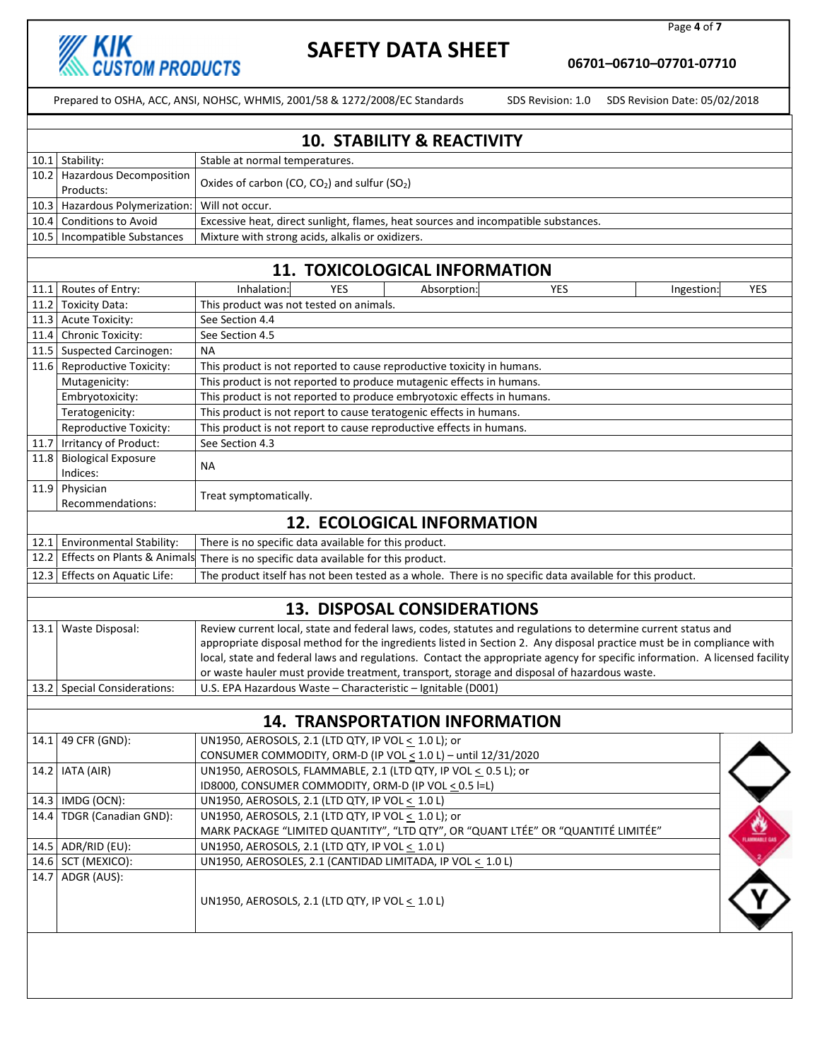

Page 4 of 7

06701–06710–07701-07710

|      |                                                                                                                             | <b>10. STABILITY &amp; REACTIVITY</b>                                                                                                                       |     |  |  |  |  |
|------|-----------------------------------------------------------------------------------------------------------------------------|-------------------------------------------------------------------------------------------------------------------------------------------------------------|-----|--|--|--|--|
|      | 10.1 Stability:                                                                                                             | Stable at normal temperatures.                                                                                                                              |     |  |  |  |  |
|      | 10.2 Hazardous Decomposition                                                                                                | Oxides of carbon (CO, CO <sub>2</sub> ) and sulfur (SO <sub>2</sub> )                                                                                       |     |  |  |  |  |
|      | Products:<br>10.3 Hazardous Polymerization:                                                                                 | Will not occur.                                                                                                                                             |     |  |  |  |  |
| 10.4 | <b>Conditions to Avoid</b>                                                                                                  | Excessive heat, direct sunlight, flames, heat sources and incompatible substances.                                                                          |     |  |  |  |  |
|      | 10.5   Incompatible Substances                                                                                              | Mixture with strong acids, alkalis or oxidizers.                                                                                                            |     |  |  |  |  |
|      |                                                                                                                             |                                                                                                                                                             |     |  |  |  |  |
|      |                                                                                                                             | <b>11. TOXICOLOGICAL INFORMATION</b>                                                                                                                        |     |  |  |  |  |
| 11.1 | Routes of Entry:                                                                                                            | Inhalation:<br><b>YES</b><br><b>YES</b><br>Absorption:<br>Ingestion:                                                                                        | YES |  |  |  |  |
|      | 11.2 Toxicity Data:                                                                                                         | This product was not tested on animals.                                                                                                                     |     |  |  |  |  |
|      | 11.3 Acute Toxicity:                                                                                                        | See Section 4.4                                                                                                                                             |     |  |  |  |  |
| 11.4 | <b>Chronic Toxicity:</b>                                                                                                    | See Section 4.5                                                                                                                                             |     |  |  |  |  |
|      | 11.5 Suspected Carcinogen:                                                                                                  | NА                                                                                                                                                          |     |  |  |  |  |
|      | 11.6 Reproductive Toxicity:                                                                                                 | This product is not reported to cause reproductive toxicity in humans.                                                                                      |     |  |  |  |  |
|      | Mutagenicity:                                                                                                               | This product is not reported to produce mutagenic effects in humans.                                                                                        |     |  |  |  |  |
|      | Embryotoxicity:                                                                                                             | This product is not reported to produce embryotoxic effects in humans.                                                                                      |     |  |  |  |  |
|      | Teratogenicity:                                                                                                             | This product is not report to cause teratogenic effects in humans.                                                                                          |     |  |  |  |  |
|      | Reproductive Toxicity:                                                                                                      | This product is not report to cause reproductive effects in humans.                                                                                         |     |  |  |  |  |
|      | 11.7 Irritancy of Product:                                                                                                  | See Section 4.3                                                                                                                                             |     |  |  |  |  |
| 11.8 | <b>Biological Exposure</b><br>Indices:                                                                                      | <b>NA</b>                                                                                                                                                   |     |  |  |  |  |
| 11.9 | Physician                                                                                                                   |                                                                                                                                                             |     |  |  |  |  |
|      | Recommendations:                                                                                                            | Treat symptomatically.                                                                                                                                      |     |  |  |  |  |
|      |                                                                                                                             | <b>12. ECOLOGICAL INFORMATION</b>                                                                                                                           |     |  |  |  |  |
|      | 12.1 Environmental Stability:                                                                                               | There is no specific data available for this product.                                                                                                       |     |  |  |  |  |
|      | 12.2 Effects on Plants & Animals                                                                                            | There is no specific data available for this product.                                                                                                       |     |  |  |  |  |
|      | 12.3 Effects on Aquatic Life:                                                                                               | The product itself has not been tested as a whole. There is no specific data available for this product.                                                    |     |  |  |  |  |
|      |                                                                                                                             |                                                                                                                                                             |     |  |  |  |  |
|      |                                                                                                                             | <b>13. DISPOSAL CONSIDERATIONS</b>                                                                                                                          |     |  |  |  |  |
|      | 13.1 Waste Disposal:                                                                                                        | Review current local, state and federal laws, codes, statutes and regulations to determine current status and                                               |     |  |  |  |  |
|      |                                                                                                                             | appropriate disposal method for the ingredients listed in Section 2. Any disposal practice must be in compliance with                                       |     |  |  |  |  |
|      | local, state and federal laws and regulations. Contact the appropriate agency for specific information. A licensed facility |                                                                                                                                                             |     |  |  |  |  |
|      | 13.2 Special Considerations:                                                                                                | or waste hauler must provide treatment, transport, storage and disposal of hazardous waste.<br>U.S. EPA Hazardous Waste - Characteristic - Ignitable (D001) |     |  |  |  |  |
|      |                                                                                                                             |                                                                                                                                                             |     |  |  |  |  |
|      |                                                                                                                             | 14. TRANSPORTATION INFORMATION                                                                                                                              |     |  |  |  |  |
|      | 14.1 49 CFR (GND):                                                                                                          | UN1950, AEROSOLS, 2.1 (LTD QTY, IP VOL < 1.0 L); or                                                                                                         |     |  |  |  |  |
|      |                                                                                                                             | CONSUMER COMMODITY, ORM-D (IP VOL $\leq$ 1.0 L) - until 12/31/2020                                                                                          |     |  |  |  |  |
|      | 14.2   IATA (AIR)                                                                                                           | UN1950, AEROSOLS, FLAMMABLE, 2.1 (LTD QTY, IP VOL < 0.5 L); or                                                                                              |     |  |  |  |  |
|      |                                                                                                                             | ID8000, CONSUMER COMMODITY, ORM-D (IP VOL < 0.5 I=L)                                                                                                        |     |  |  |  |  |
|      | 14.3   IMDG (OCN):                                                                                                          | UN1950, AEROSOLS, 2.1 (LTD QTY, IP VOL < 1.0 L)                                                                                                             |     |  |  |  |  |
| 14.4 | TDGR (Canadian GND):                                                                                                        | UN1950, AEROSOLS, 2.1 (LTD QTY, IP VOL $\leq 1.0$ L); or                                                                                                    |     |  |  |  |  |
|      |                                                                                                                             | MARK PACKAGE "LIMITED QUANTITY", "LTD QTY", OR "QUANT LTÉE" OR "QUANTITÉ LIMITÉE"                                                                           |     |  |  |  |  |
|      | 14.5 ADR/RID (EU):                                                                                                          | UN1950, AEROSOLS, 2.1 (LTD QTY, IP VOL < 1.0 L)                                                                                                             |     |  |  |  |  |
|      | 14.6 SCT (MEXICO):                                                                                                          | UN1950, AEROSOLES, 2.1 (CANTIDAD LIMITADA, IP VOL < 1.0 L)                                                                                                  |     |  |  |  |  |
|      | 14.7 ADGR (AUS):                                                                                                            | UN1950, AEROSOLS, 2.1 (LTD QTY, IP VOL < 1.0 L)                                                                                                             |     |  |  |  |  |
|      |                                                                                                                             |                                                                                                                                                             |     |  |  |  |  |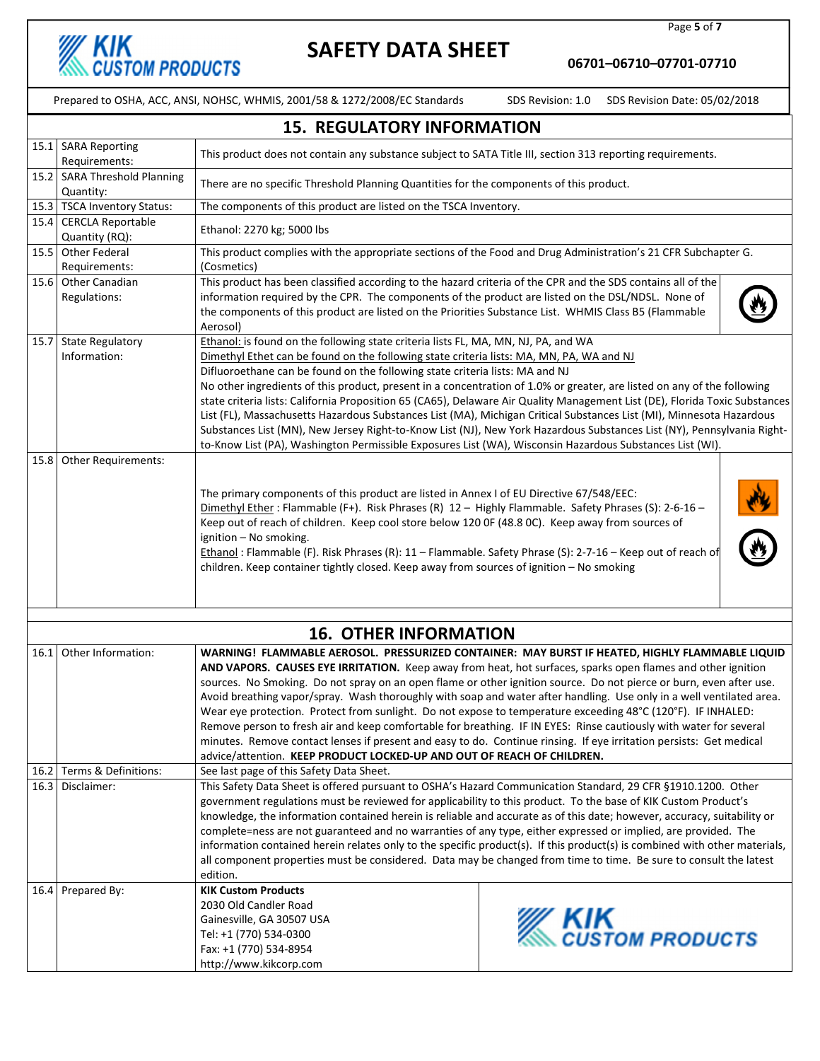

Page 5 of 7

06701–06710–07701-07710

|      | <b>15. REGULATORY INFORMATION</b>         |                                                                                                                                                                                                                                                                                                                                                                                                                                                                                                                                                                                                                                                                                                                                                                                                                                                                                                      |                                      |  |  |  |  |
|------|-------------------------------------------|------------------------------------------------------------------------------------------------------------------------------------------------------------------------------------------------------------------------------------------------------------------------------------------------------------------------------------------------------------------------------------------------------------------------------------------------------------------------------------------------------------------------------------------------------------------------------------------------------------------------------------------------------------------------------------------------------------------------------------------------------------------------------------------------------------------------------------------------------------------------------------------------------|--------------------------------------|--|--|--|--|
|      | 15.1 SARA Reporting<br>Requirements:      | This product does not contain any substance subject to SATA Title III, section 313 reporting requirements.                                                                                                                                                                                                                                                                                                                                                                                                                                                                                                                                                                                                                                                                                                                                                                                           |                                      |  |  |  |  |
|      | 15.2 SARA Threshold Planning<br>Quantity: | There are no specific Threshold Planning Quantities for the components of this product.                                                                                                                                                                                                                                                                                                                                                                                                                                                                                                                                                                                                                                                                                                                                                                                                              |                                      |  |  |  |  |
|      | 15.3 TSCA Inventory Status:               | The components of this product are listed on the TSCA Inventory.                                                                                                                                                                                                                                                                                                                                                                                                                                                                                                                                                                                                                                                                                                                                                                                                                                     |                                      |  |  |  |  |
|      | 15.4 CERCLA Reportable<br>Quantity (RQ):  | Ethanol: 2270 kg; 5000 lbs                                                                                                                                                                                                                                                                                                                                                                                                                                                                                                                                                                                                                                                                                                                                                                                                                                                                           |                                      |  |  |  |  |
|      | 15.5 Other Federal<br>Requirements:       | This product complies with the appropriate sections of the Food and Drug Administration's 21 CFR Subchapter G.<br>(Cosmetics)                                                                                                                                                                                                                                                                                                                                                                                                                                                                                                                                                                                                                                                                                                                                                                        |                                      |  |  |  |  |
|      | 15.6 Other Canadian<br>Regulations:       | This product has been classified according to the hazard criteria of the CPR and the SDS contains all of the<br>information required by the CPR. The components of the product are listed on the DSL/NDSL. None of<br>the components of this product are listed on the Priorities Substance List. WHMIS Class B5 (Flammable<br>Aerosol)                                                                                                                                                                                                                                                                                                                                                                                                                                                                                                                                                              |                                      |  |  |  |  |
|      | 15.7 State Regulatory<br>Information:     | Ethanol: is found on the following state criteria lists FL, MA, MN, NJ, PA, and WA<br>Dimethyl Ethet can be found on the following state criteria lists: MA, MN, PA, WA and NJ<br>Difluoroethane can be found on the following state criteria lists: MA and NJ<br>No other ingredients of this product, present in a concentration of 1.0% or greater, are listed on any of the following<br>state criteria lists: California Proposition 65 (CA65), Delaware Air Quality Management List (DE), Florida Toxic Substances<br>List (FL), Massachusetts Hazardous Substances List (MA), Michigan Critical Substances List (MI), Minnesota Hazardous<br>Substances List (MN), New Jersey Right-to-Know List (NJ), New York Hazardous Substances List (NY), Pennsylvania Right-<br>to-Know List (PA), Washington Permissible Exposures List (WA), Wisconsin Hazardous Substances List (WI).               |                                      |  |  |  |  |
|      | 15.8 Other Requirements:                  | The primary components of this product are listed in Annex I of EU Directive 67/548/EEC:<br>Dimethyl Ether : Flammable (F+). Risk Phrases (R) 12 - Highly Flammable. Safety Phrases (S): 2-6-16 -<br>Keep out of reach of children. Keep cool store below 120 OF (48.8 OC). Keep away from sources of<br>ignition - No smoking.<br>Ethanol: Flammable (F). Risk Phrases (R): 11 - Flammable. Safety Phrase (S): 2-7-16 - Keep out of reach of<br>children. Keep container tightly closed. Keep away from sources of ignition - No smoking                                                                                                                                                                                                                                                                                                                                                            |                                      |  |  |  |  |
|      |                                           | <b>16. OTHER INFORMATION</b>                                                                                                                                                                                                                                                                                                                                                                                                                                                                                                                                                                                                                                                                                                                                                                                                                                                                         |                                      |  |  |  |  |
|      |                                           |                                                                                                                                                                                                                                                                                                                                                                                                                                                                                                                                                                                                                                                                                                                                                                                                                                                                                                      |                                      |  |  |  |  |
|      | 16.1 Other Information:                   | WARNING! FLAMMABLE AEROSOL. PRESSURIZED CONTAINER: MAY BURST IF HEATED, HIGHLY FLAMMABLE LIQUID<br>AND VAPORS. CAUSES EYE IRRITATION. Keep away from heat, hot surfaces, sparks open flames and other ignition<br>sources. No Smoking. Do not spray on an open flame or other ignition source. Do not pierce or burn, even after use.<br>Avoid breathing vapor/spray. Wash thoroughly with soap and water after handling. Use only in a well ventilated area.<br>Wear eye protection. Protect from sunlight. Do not expose to temperature exceeding 48°C (120°F). IF INHALED:<br>Remove person to fresh air and keep comfortable for breathing. IF IN EYES: Rinse cautiously with water for several<br>minutes. Remove contact lenses if present and easy to do. Continue rinsing. If eye irritation persists: Get medical<br>advice/attention. KEEP PRODUCT LOCKED-UP AND OUT OF REACH OF CHILDREN. |                                      |  |  |  |  |
|      | 16.2 Terms & Definitions:                 | See last page of this Safety Data Sheet.                                                                                                                                                                                                                                                                                                                                                                                                                                                                                                                                                                                                                                                                                                                                                                                                                                                             |                                      |  |  |  |  |
| 16.3 | Disclaimer:                               | This Safety Data Sheet is offered pursuant to OSHA's Hazard Communication Standard, 29 CFR §1910.1200. Other<br>government regulations must be reviewed for applicability to this product. To the base of KIK Custom Product's<br>knowledge, the information contained herein is reliable and accurate as of this date; however, accuracy, suitability or<br>complete=ness are not guaranteed and no warranties of any type, either expressed or implied, are provided. The<br>information contained herein relates only to the specific product(s). If this product(s) is combined with other materials,<br>all component properties must be considered. Data may be changed from time to time. Be sure to consult the latest<br>edition.                                                                                                                                                           |                                      |  |  |  |  |
|      | 16.4 Prepared By:                         | <b>KIK Custom Products</b><br>2030 Old Candler Road<br>Gainesville, GA 30507 USA<br>Tel: +1 (770) 534-0300<br>Fax: +1 (770) 534-8954<br>http://www.kikcorp.com                                                                                                                                                                                                                                                                                                                                                                                                                                                                                                                                                                                                                                                                                                                                       | <b>KIK</b><br><i>CUSTOM PRODUCTS</i> |  |  |  |  |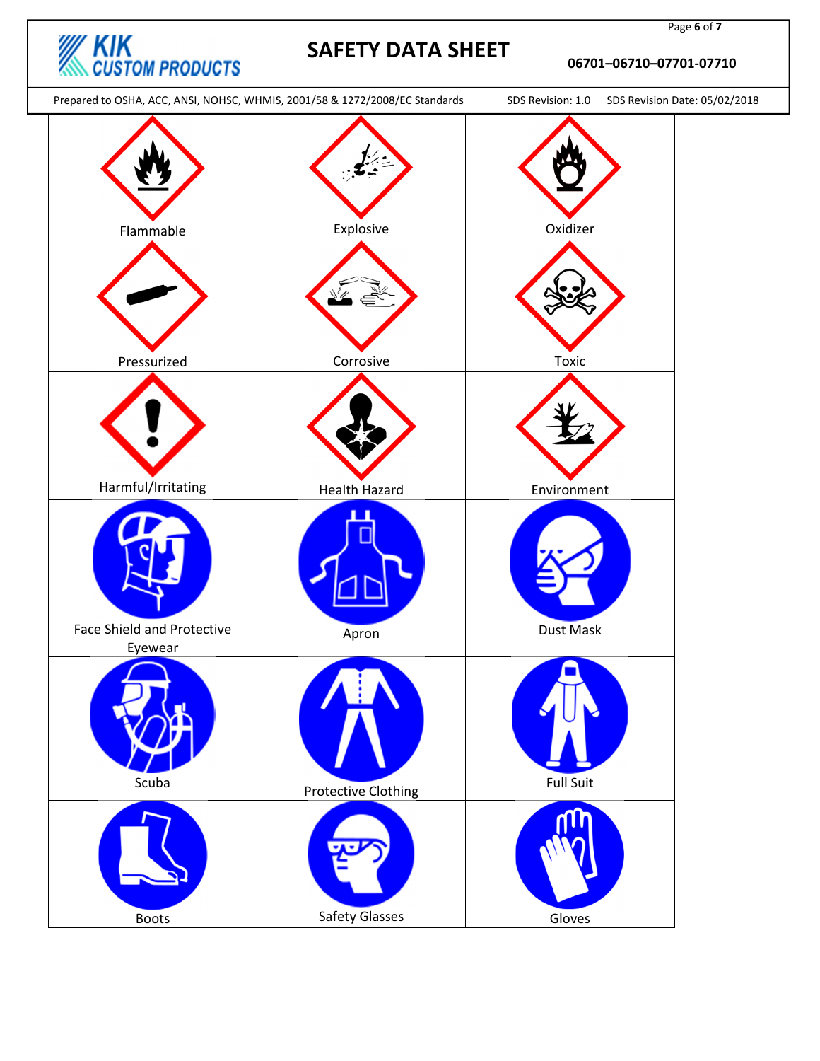

#### 06701–06710–07701-07710